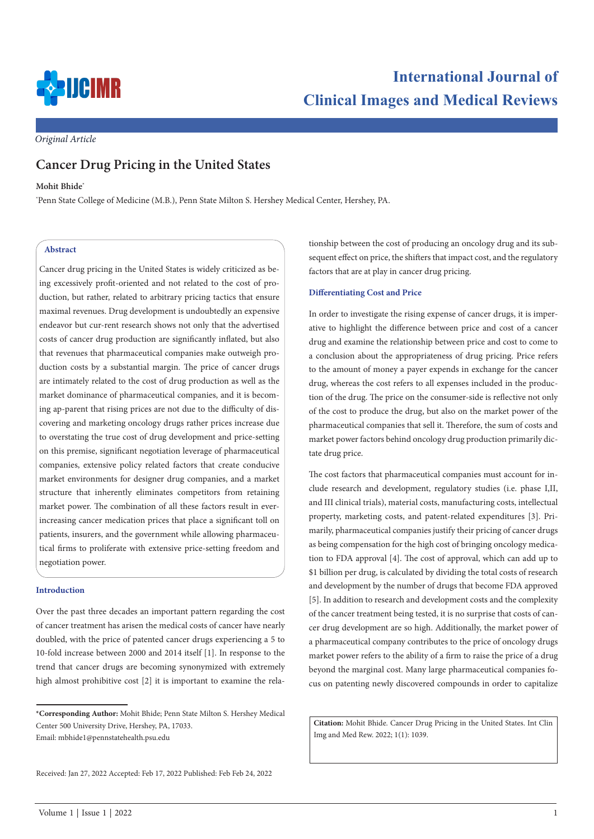

*Original Article*

# **Cancer Drug Pricing in the United States**

### **Mohit Bhide\***

\* Penn State College of Medicine (M.B.), Penn State Milton S. Hershey Medical Center, Hershey, PA.

### **Abstract**

Cancer drug pricing in the United States is widely criticized as being excessively profit-oriented and not related to the cost of production, but rather, related to arbitrary pricing tactics that ensure maximal revenues. Drug development is undoubtedly an expensive endeavor but cur-rent research shows not only that the advertised costs of cancer drug production are significantly inflated, but also that revenues that pharmaceutical companies make outweigh production costs by a substantial margin. The price of cancer drugs are intimately related to the cost of drug production as well as the market dominance of pharmaceutical companies, and it is becoming ap-parent that rising prices are not due to the difficulty of discovering and marketing oncology drugs rather prices increase due to overstating the true cost of drug development and price-setting on this premise, significant negotiation leverage of pharmaceutical companies, extensive policy related factors that create conducive market environments for designer drug companies, and a market structure that inherently eliminates competitors from retaining market power. The combination of all these factors result in everincreasing cancer medication prices that place a significant toll on patients, insurers, and the government while allowing pharmaceutical firms to proliferate with extensive price-setting freedom and negotiation power.

### **Introduction**

Over the past three decades an important pattern regarding the cost of cancer treatment has arisen the medical costs of cancer have nearly doubled, with the price of patented cancer drugs experiencing a 5 to 10-fold increase between 2000 and 2014 itself [1]. In response to the trend that cancer drugs are becoming synonymized with extremely high almost prohibitive cost [2] it is important to examine the relationship between the cost of producing an oncology drug and its subsequent effect on price, the shifters that impact cost, and the regulatory factors that are at play in cancer drug pricing.

### **Differentiating Cost and Price**

In order to investigate the rising expense of cancer drugs, it is imperative to highlight the difference between price and cost of a cancer drug and examine the relationship between price and cost to come to a conclusion about the appropriateness of drug pricing. Price refers to the amount of money a payer expends in exchange for the cancer drug, whereas the cost refers to all expenses included in the production of the drug. The price on the consumer-side is reflective not only of the cost to produce the drug, but also on the market power of the pharmaceutical companies that sell it. Therefore, the sum of costs and market power factors behind oncology drug production primarily dictate drug price.

The cost factors that pharmaceutical companies must account for include research and development, regulatory studies (i.e. phase I,II, and III clinical trials), material costs, manufacturing costs, intellectual property, marketing costs, and patent-related expenditures [3]. Primarily, pharmaceutical companies justify their pricing of cancer drugs as being compensation for the high cost of bringing oncology medication to FDA approval [4]. The cost of approval, which can add up to \$1 billion per drug, is calculated by dividing the total costs of research and development by the number of drugs that become FDA approved [5]. In addition to research and development costs and the complexity of the cancer treatment being tested, it is no surprise that costs of cancer drug development are so high. Additionally, the market power of a pharmaceutical company contributes to the price of oncology drugs market power refers to the ability of a firm to raise the price of a drug beyond the marginal cost. Many large pharmaceutical companies focus on patenting newly discovered compounds in order to capitalize

**Citation:** Mohit Bhide. Cancer Drug Pricing in the United States. Int Clin Img and Med Rew. 2022; 1(1): 1039.

**<sup>\*</sup>Corresponding Author:** Mohit Bhide; Penn State Milton S. Hershey Medical Center 500 University Drive, Hershey, PA, 17033. Email: mbhide1@pennstatehealth.psu.edu

Received: Jan 27, 2022 Accepted: Feb 17, 2022 Published: Feb Feb 24, 2022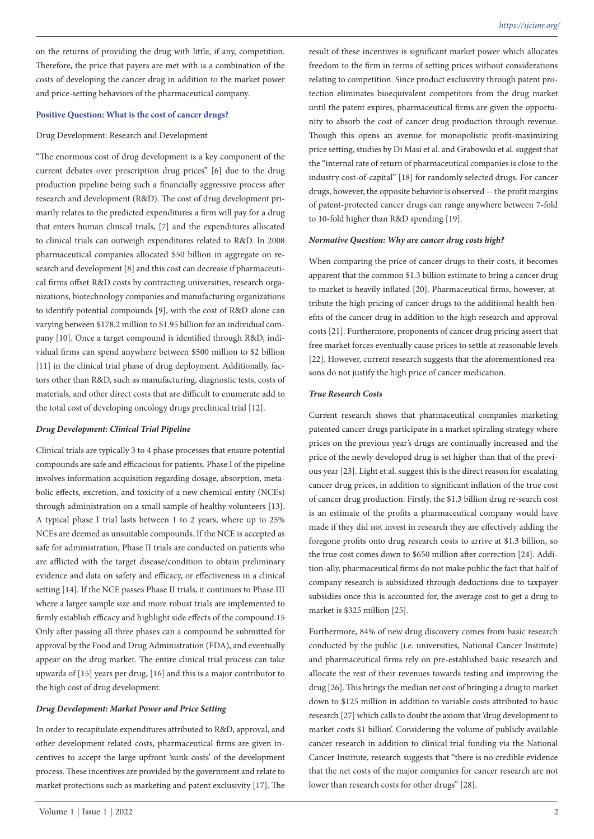on the returns of providing the drug with little, if any, competition. Therefore, the price that payers are met with is a combination of the costs of developing the cancer drug in addition to the market power and price-setting behaviors of the pharmaceutical company.

### **Positive Question: What is the cost of cancer drugs?**

### Drug Development: Research and Development

"The enormous cost of drug development is a key component of the current debates over prescription drug prices" [6] due to the drug production pipeline being such a financially aggressive process after research and development (R&D). The cost of drug development primarily relates to the predicted expenditures a firm will pay for a drug that enters human clinical trials, [7] and the expenditures allocated to clinical trials can outweigh expenditures related to R&D. In 2008 pharmaceutical companies allocated \$50 billion in aggregate on research and development [8] and this cost can decrease if pharmaceutical firms offset R&D costs by contracting universities, research organizations, biotechnology companies and manufacturing organizations to identify potential compounds [9], with the cost of R&D alone can varying between \$178.2 million to \$1.95 billion for an individual company [10]. Once a target compound is identified through R&D, individual firms can spend anywhere between \$500 million to \$2 billion [11] in the clinical trial phase of drug deployment. Additionally, factors other than R&D, such as manufacturing, diagnostic tests, costs of materials, and other direct costs that are difficult to enumerate add to the total cost of developing oncology drugs preclinical trial [12].

### *Drug Development: Clinical Trial Pipeline*

Clinical trials are typically 3 to 4 phase processes that ensure potential compounds are safe and efficacious for patients. Phase I of the pipeline involves information acquisition regarding dosage, absorption, metabolic effects, excretion, and toxicity of a new chemical entity (NCEs) through administration on a small sample of healthy volunteers [13]. A typical phase I trial lasts between 1 to 2 years, where up to 25% NCEs are deemed as unsuitable compounds. If the NCE is accepted as safe for administration, Phase II trials are conducted on patients who are afflicted with the target disease/condition to obtain preliminary evidence and data on safety and efficacy, or effectiveness in a clinical setting [14]. If the NCE passes Phase II trials, it continues to Phase III where a larger sample size and more robust trials are implemented to firmly establish efficacy and highlight side effects of the compound.15 Only after passing all three phases can a compound be submitted for approval by the Food and Drug Administration (FDA), and eventually appear on the drug market. The entire clinical trial process can take upwards of [15] years per drug, [16] and this is a major contributor to the high cost of drug development.

### *Drug Development: Market Power and Price Setting*

In order to recapitulate expenditures attributed to R&D, approval, and other development related costs, pharmaceutical firms are given incentives to accept the large upfront 'sunk costs' of the development process. These incentives are provided by the government and relate to market protections such as marketing and patent exclusivity [17]. The result of these incentives is significant market power which allocates freedom to the firm in terms of setting prices without considerations relating to competition. Since product exclusivity through patent protection eliminates bioequivalent competitors from the drug market until the patent expires, pharmaceutical firms are given the opportunity to absorb the cost of cancer drug production through revenue. Though this opens an avenue for monopolistic profit-maximizing price setting, studies by Di Masi et al. and Grabowski et al. suggest that the "internal rate of return of pharmaceutical companies is close to the industry cost-of-capital" [18] for randomly selected drugs. For cancer drugs, however, the opposite behavior is observed -- the profit margins of patent-protected cancer drugs can range anywhere between 7-fold to 10-fold higher than R&D spending [19].

#### *Normative Question: Why are cancer drug costs high?*

When comparing the price of cancer drugs to their costs, it becomes apparent that the common \$1.3 billion estimate to bring a cancer drug to market is heavily inflated [20]. Pharmaceutical firms, however, attribute the high pricing of cancer drugs to the additional health benefits of the cancer drug in addition to the high research and approval costs [21]. Furthermore, proponents of cancer drug pricing assert that free market forces eventually cause prices to settle at reasonable levels [22]. However, current research suggests that the aforementioned reasons do not justify the high price of cancer medication.

### *True Research Costs*

Current research shows that pharmaceutical companies marketing patented cancer drugs participate in a market spiraling strategy where prices on the previous year's drugs are continually increased and the price of the newly developed drug is set higher than that of the previous year [23]. Light et al. suggest this is the direct reason for escalating cancer drug prices, in addition to significant inflation of the true cost of cancer drug production. Firstly, the \$1.3 billion drug re-search cost is an estimate of the profits a pharmaceutical company would have made if they did not invest in research they are effectively adding the foregone profits onto drug research costs to arrive at \$1.3 billion, so the true cost comes down to \$650 million after correction [24]. Addition-ally, pharmaceutical firms do not make public the fact that half of company research is subsidized through deductions due to taxpayer subsidies once this is accounted for, the average cost to get a drug to market is \$325 million [25].

Furthermore, 84% of new drug discovery comes from basic research conducted by the public (i.e. universities, National Cancer Institute) and pharmaceutical firms rely on pre-established basic research and allocate the rest of their revenues towards testing and improving the drug [26]. This brings the median net cost of bringing a drug to market down to \$125 million in addition to variable costs attributed to basic research [27] which calls to doubt the axiom that 'drug development to market costs \$1 billion'. Considering the volume of publicly available cancer research in addition to clinical trial funding via the National Cancer Institute, research suggests that "there is no credible evidence that the net costs of the major companies for cancer research are not lower than research costs for other drugs" [28].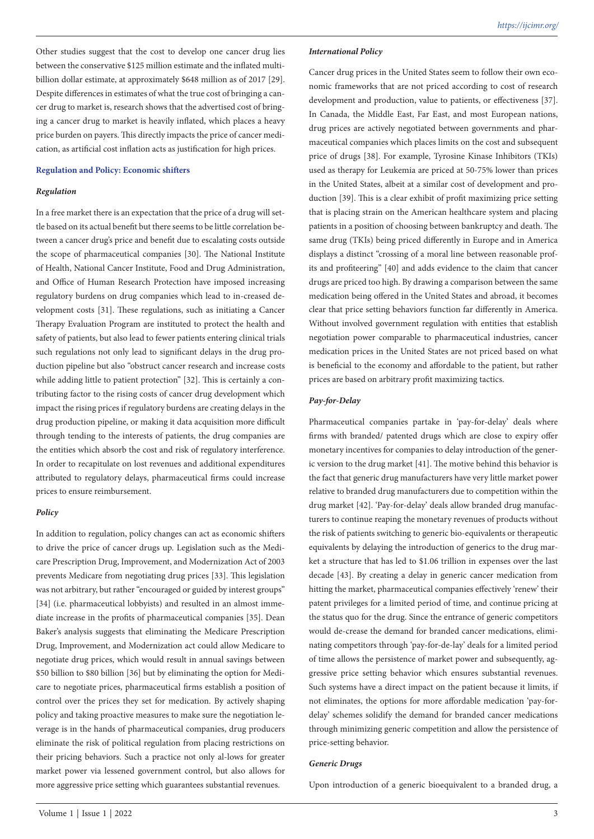Other studies suggest that the cost to develop one cancer drug lies between the conservative \$125 million estimate and the inflated multibillion dollar estimate, at approximately \$648 million as of 2017 [29]. Despite differences in estimates of what the true cost of bringing a cancer drug to market is, research shows that the advertised cost of bringing a cancer drug to market is heavily inflated, which places a heavy price burden on payers. This directly impacts the price of cancer medication, as artificial cost inflation acts as justification for high prices.

### **Regulation and Policy: Economic shifters**

### *Regulation*

In a free market there is an expectation that the price of a drug will settle based on its actual benefit but there seems to be little correlation between a cancer drug's price and benefit due to escalating costs outside the scope of pharmaceutical companies [30]. The National Institute of Health, National Cancer Institute, Food and Drug Administration, and Office of Human Research Protection have imposed increasing regulatory burdens on drug companies which lead to in-creased development costs [31]. These regulations, such as initiating a Cancer Therapy Evaluation Program are instituted to protect the health and safety of patients, but also lead to fewer patients entering clinical trials such regulations not only lead to significant delays in the drug production pipeline but also "obstruct cancer research and increase costs while adding little to patient protection" [32]. This is certainly a contributing factor to the rising costs of cancer drug development which impact the rising prices if regulatory burdens are creating delays in the drug production pipeline, or making it data acquisition more difficult through tending to the interests of patients, the drug companies are the entities which absorb the cost and risk of regulatory interference. In order to recapitulate on lost revenues and additional expenditures attributed to regulatory delays, pharmaceutical firms could increase prices to ensure reimbursement.

### *Policy*

In addition to regulation, policy changes can act as economic shifters to drive the price of cancer drugs up. Legislation such as the Medicare Prescription Drug, Improvement, and Modernization Act of 2003 prevents Medicare from negotiating drug prices [33]. This legislation was not arbitrary, but rather "encouraged or guided by interest groups" [34] (i.e. pharmaceutical lobbyists) and resulted in an almost immediate increase in the profits of pharmaceutical companies [35]. Dean Baker's analysis suggests that eliminating the Medicare Prescription Drug, Improvement, and Modernization act could allow Medicare to negotiate drug prices, which would result in annual savings between \$50 billion to \$80 billion [36] but by eliminating the option for Medicare to negotiate prices, pharmaceutical firms establish a position of control over the prices they set for medication. By actively shaping policy and taking proactive measures to make sure the negotiation leverage is in the hands of pharmaceutical companies, drug producers eliminate the risk of political regulation from placing restrictions on their pricing behaviors. Such a practice not only al-lows for greater market power via lessened government control, but also allows for more aggressive price setting which guarantees substantial revenues.

#### *International Policy*

Cancer drug prices in the United States seem to follow their own economic frameworks that are not priced according to cost of research development and production, value to patients, or effectiveness [37]. In Canada, the Middle East, Far East, and most European nations, drug prices are actively negotiated between governments and pharmaceutical companies which places limits on the cost and subsequent price of drugs [38]. For example, Tyrosine Kinase Inhibitors (TKIs) used as therapy for Leukemia are priced at 50-75% lower than prices in the United States, albeit at a similar cost of development and production [39]. This is a clear exhibit of profit maximizing price setting that is placing strain on the American healthcare system and placing patients in a position of choosing between bankruptcy and death. The same drug (TKIs) being priced differently in Europe and in America displays a distinct "crossing of a moral line between reasonable profits and profiteering" [40] and adds evidence to the claim that cancer drugs are priced too high. By drawing a comparison between the same medication being offered in the United States and abroad, it becomes clear that price setting behaviors function far differently in America. Without involved government regulation with entities that establish negotiation power comparable to pharmaceutical industries, cancer medication prices in the United States are not priced based on what is beneficial to the economy and affordable to the patient, but rather prices are based on arbitrary profit maximizing tactics.

### *Pay-for-Delay*

Pharmaceutical companies partake in 'pay-for-delay' deals where firms with branded/ patented drugs which are close to expiry offer monetary incentives for companies to delay introduction of the generic version to the drug market [41]. The motive behind this behavior is the fact that generic drug manufacturers have very little market power relative to branded drug manufacturers due to competition within the drug market [42]. 'Pay-for-delay' deals allow branded drug manufacturers to continue reaping the monetary revenues of products without the risk of patients switching to generic bio-equivalents or therapeutic equivalents by delaying the introduction of generics to the drug market a structure that has led to \$1.06 trillion in expenses over the last decade [43]. By creating a delay in generic cancer medication from hitting the market, pharmaceutical companies effectively 'renew' their patent privileges for a limited period of time, and continue pricing at the status quo for the drug. Since the entrance of generic competitors would de-crease the demand for branded cancer medications, eliminating competitors through 'pay-for-de-lay' deals for a limited period of time allows the persistence of market power and subsequently, aggressive price setting behavior which ensures substantial revenues. Such systems have a direct impact on the patient because it limits, if not eliminates, the options for more affordable medication 'pay-fordelay' schemes solidify the demand for branded cancer medications through minimizing generic competition and allow the persistence of price-setting behavior.

### *Generic Drugs*

Upon introduction of a generic bioequivalent to a branded drug, a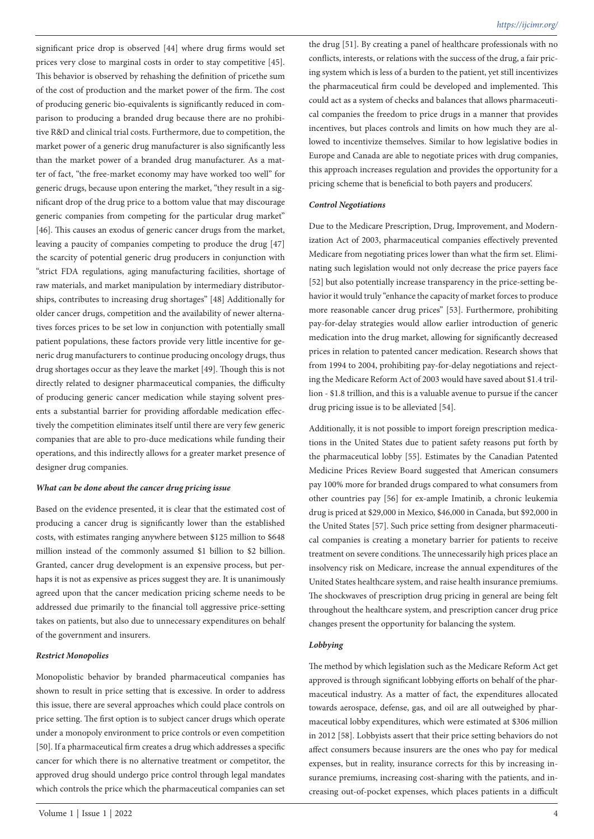significant price drop is observed [44] where drug firms would set prices very close to marginal costs in order to stay competitive [45]. This behavior is observed by rehashing the definition of pricethe sum of the cost of production and the market power of the firm. The cost of producing generic bio-equivalents is significantly reduced in comparison to producing a branded drug because there are no prohibitive R&D and clinical trial costs. Furthermore, due to competition, the market power of a generic drug manufacturer is also significantly less than the market power of a branded drug manufacturer. As a matter of fact, "the free-market economy may have worked too well" for generic drugs, because upon entering the market, "they result in a significant drop of the drug price to a bottom value that may discourage generic companies from competing for the particular drug market" [46]. This causes an exodus of generic cancer drugs from the market, leaving a paucity of companies competing to produce the drug [47] the scarcity of potential generic drug producers in conjunction with "strict FDA regulations, aging manufacturing facilities, shortage of raw materials, and market manipulation by intermediary distributorships, contributes to increasing drug shortages" [48] Additionally for older cancer drugs, competition and the availability of newer alternatives forces prices to be set low in conjunction with potentially small patient populations, these factors provide very little incentive for generic drug manufacturers to continue producing oncology drugs, thus drug shortages occur as they leave the market [49]. Though this is not directly related to designer pharmaceutical companies, the difficulty of producing generic cancer medication while staying solvent presents a substantial barrier for providing affordable medication effectively the competition eliminates itself until there are very few generic companies that are able to pro-duce medications while funding their operations, and this indirectly allows for a greater market presence of designer drug companies.

### *What can be done about the cancer drug pricing issue*

Based on the evidence presented, it is clear that the estimated cost of producing a cancer drug is significantly lower than the established costs, with estimates ranging anywhere between \$125 million to \$648 million instead of the commonly assumed \$1 billion to \$2 billion. Granted, cancer drug development is an expensive process, but perhaps it is not as expensive as prices suggest they are. It is unanimously agreed upon that the cancer medication pricing scheme needs to be addressed due primarily to the financial toll aggressive price-setting takes on patients, but also due to unnecessary expenditures on behalf of the government and insurers.

### *Restrict Monopolies*

Monopolistic behavior by branded pharmaceutical companies has shown to result in price setting that is excessive. In order to address this issue, there are several approaches which could place controls on price setting. The first option is to subject cancer drugs which operate under a monopoly environment to price controls or even competition [50]. If a pharmaceutical firm creates a drug which addresses a specific cancer for which there is no alternative treatment or competitor, the approved drug should undergo price control through legal mandates which controls the price which the pharmaceutical companies can set

the drug [51]. By creating a panel of healthcare professionals with no conflicts, interests, or relations with the success of the drug, a fair pricing system which is less of a burden to the patient, yet still incentivizes the pharmaceutical firm could be developed and implemented. This could act as a system of checks and balances that allows pharmaceutical companies the freedom to price drugs in a manner that provides incentives, but places controls and limits on how much they are allowed to incentivize themselves. Similar to how legislative bodies in Europe and Canada are able to negotiate prices with drug companies, this approach increases regulation and provides the opportunity for a pricing scheme that is beneficial to both payers and producers'.

### *Control Negotiations*

Due to the Medicare Prescription, Drug, Improvement, and Modernization Act of 2003, pharmaceutical companies effectively prevented Medicare from negotiating prices lower than what the firm set. Eliminating such legislation would not only decrease the price payers face [52] but also potentially increase transparency in the price-setting behavior it would truly "enhance the capacity of market forces to produce more reasonable cancer drug prices" [53]. Furthermore, prohibiting pay-for-delay strategies would allow earlier introduction of generic medication into the drug market, allowing for significantly decreased prices in relation to patented cancer medication. Research shows that from 1994 to 2004, prohibiting pay-for-delay negotiations and rejecting the Medicare Reform Act of 2003 would have saved about \$1.4 trillion - \$1.8 trillion, and this is a valuable avenue to pursue if the cancer drug pricing issue is to be alleviated [54].

Additionally, it is not possible to import foreign prescription medications in the United States due to patient safety reasons put forth by the pharmaceutical lobby [55]. Estimates by the Canadian Patented Medicine Prices Review Board suggested that American consumers pay 100% more for branded drugs compared to what consumers from other countries pay [56] for ex-ample Imatinib, a chronic leukemia drug is priced at \$29,000 in Mexico, \$46,000 in Canada, but \$92,000 in the United States [57]. Such price setting from designer pharmaceutical companies is creating a monetary barrier for patients to receive treatment on severe conditions. The unnecessarily high prices place an insolvency risk on Medicare, increase the annual expenditures of the United States healthcare system, and raise health insurance premiums. The shockwaves of prescription drug pricing in general are being felt throughout the healthcare system, and prescription cancer drug price changes present the opportunity for balancing the system.

### *Lobbying*

The method by which legislation such as the Medicare Reform Act get approved is through significant lobbying efforts on behalf of the pharmaceutical industry. As a matter of fact, the expenditures allocated towards aerospace, defense, gas, and oil are all outweighed by pharmaceutical lobby expenditures, which were estimated at \$306 million in 2012 [58]. Lobbyists assert that their price setting behaviors do not affect consumers because insurers are the ones who pay for medical expenses, but in reality, insurance corrects for this by increasing insurance premiums, increasing cost-sharing with the patients, and increasing out-of-pocket expenses, which places patients in a difficult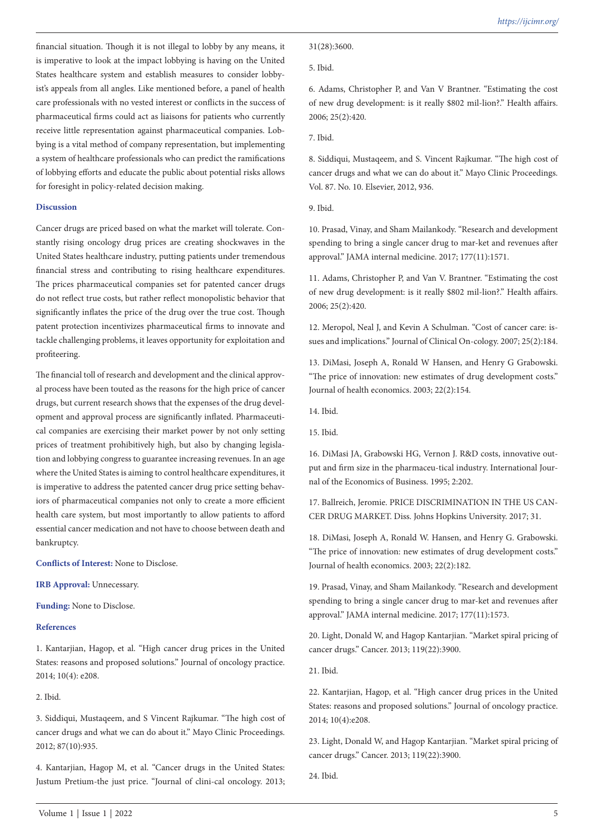financial situation. Though it is not illegal to lobby by any means, it is imperative to look at the impact lobbying is having on the United States healthcare system and establish measures to consider lobbyist's appeals from all angles. Like mentioned before, a panel of health care professionals with no vested interest or conflicts in the success of pharmaceutical firms could act as liaisons for patients who currently receive little representation against pharmaceutical companies. Lobbying is a vital method of company representation, but implementing a system of healthcare professionals who can predict the ramifications of lobbying efforts and educate the public about potential risks allows for foresight in policy-related decision making.

### **Discussion**

Cancer drugs are priced based on what the market will tolerate. Constantly rising oncology drug prices are creating shockwaves in the United States healthcare industry, putting patients under tremendous financial stress and contributing to rising healthcare expenditures. The prices pharmaceutical companies set for patented cancer drugs do not reflect true costs, but rather reflect monopolistic behavior that significantly inflates the price of the drug over the true cost. Though patent protection incentivizes pharmaceutical firms to innovate and tackle challenging problems, it leaves opportunity for exploitation and profiteering.

The financial toll of research and development and the clinical approval process have been touted as the reasons for the high price of cancer drugs, but current research shows that the expenses of the drug development and approval process are significantly inflated. Pharmaceutical companies are exercising their market power by not only setting prices of treatment prohibitively high, but also by changing legislation and lobbying congress to guarantee increasing revenues. In an age where the United States is aiming to control healthcare expenditures, it is imperative to address the patented cancer drug price setting behaviors of pharmaceutical companies not only to create a more efficient health care system, but most importantly to allow patients to afford essential cancer medication and not have to choose between death and bankruptcy.

**Conflicts of Interest:** None to Disclose.

**IRB Approval:** Unnecessary.

**Funding:** None to Disclose.

## **References**

1. Kantarjian, Hagop, et al. "High cancer drug prices in the United States: reasons and proposed solutions." Journal of oncology practice. 2014; 10(4): e208.

2. Ibid.

3. Siddiqui, Mustaqeem, and S Vincent Rajkumar. "The high cost of cancer drugs and what we can do about it." Mayo Clinic Proceedings. 2012; 87(10):935.

4. Kantarjian, Hagop M, et al. "Cancer drugs in the United States: Justum Pretium-the just price. "Journal of clini-cal oncology. 2013; 6. Adams, Christopher P, and Van V Brantner. "Estimating the cost of new drug development: is it really \$802 mil-lion?." Health affairs. 2006; 25(2):420.

7. Ibid.

8. Siddiqui, Mustaqeem, and S. Vincent Rajkumar. "The high cost of cancer drugs and what we can do about it." Mayo Clinic Proceedings. Vol. 87. No. 10. Elsevier, 2012, 936.

9. Ibid.

10. Prasad, Vinay, and Sham Mailankody. "Research and development spending to bring a single cancer drug to mar-ket and revenues after approval." JAMA internal medicine. 2017; 177(11):1571.

11. Adams, Christopher P, and Van V. Brantner. "Estimating the cost of new drug development: is it really \$802 mil-lion?." Health affairs. 2006; 25(2):420.

12. Meropol, Neal J, and Kevin A Schulman. "Cost of cancer care: issues and implications." Journal of Clinical On-cology. 2007; 25(2):184.

13. DiMasi, Joseph A, Ronald W Hansen, and Henry G Grabowski. "The price of innovation: new estimates of drug development costs." Journal of health economics. 2003; 22(2):154.

14. Ibid.

15. Ibid.

16. DiMasi JA, Grabowski HG, Vernon J. R&D costs, innovative output and firm size in the pharmaceu-tical industry. International Journal of the Economics of Business. 1995; 2:202.

17. Ballreich, Jeromie. PRICE DISCRIMINATION IN THE US CAN-CER DRUG MARKET. Diss. Johns Hopkins University. 2017; 31.

18. DiMasi, Joseph A, Ronald W. Hansen, and Henry G. Grabowski. "The price of innovation: new estimates of drug development costs." Journal of health economics. 2003; 22(2):182.

19. Prasad, Vinay, and Sham Mailankody. "Research and development spending to bring a single cancer drug to mar-ket and revenues after approval." JAMA internal medicine. 2017; 177(11):1573.

20. Light, Donald W, and Hagop Kantarjian. "Market spiral pricing of cancer drugs." Cancer. 2013; 119(22):3900.

21. Ibid.

22. Kantarjian, Hagop, et al. "High cancer drug prices in the United States: reasons and proposed solutions." Journal of oncology practice. 2014; 10(4):e208.

23. Light, Donald W, and Hagop Kantarjian. "Market spiral pricing of cancer drugs." Cancer. 2013; 119(22):3900.

24. Ibid.

<sup>5.</sup> Ibid.